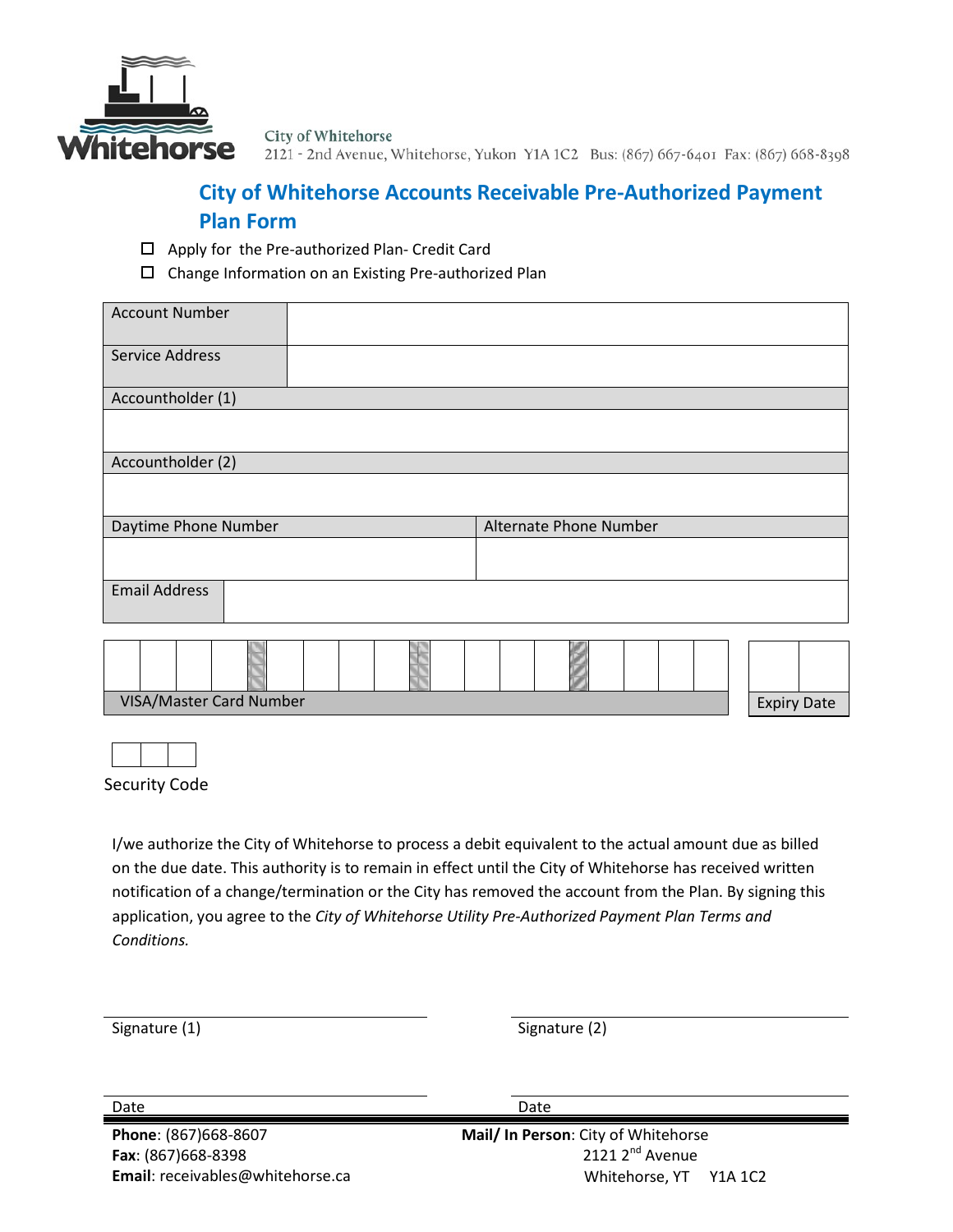

City of Whitehorse 2121 - 2nd Avenue, Whitehorse, Yukon Y1A 1C2 Bus: (867) 667-6401 Fax: (867) 668-8398

## **City of Whitehorse Accounts Receivable Pre-Authorized Payment Plan Form**

- □ Apply for the Pre-authorized Plan- Credit Card
- Change Information on an Existing Pre-authorized Plan

| <b>Account Number</b> |                        |  |
|-----------------------|------------------------|--|
| Service Address       |                        |  |
| Accountholder (1)     |                        |  |
|                       |                        |  |
| Accountholder (2)     |                        |  |
|                       |                        |  |
| Daytime Phone Number  | Alternate Phone Number |  |
|                       |                        |  |
| <b>Email Address</b>  |                        |  |
|                       |                        |  |
|                       |                        |  |

Security Code

I/we authorize the City of Whitehorse to process a debit equivalent to the actual amount due as billed on the due date. This authority is to remain in effect until the City of Whitehorse has received written notification of a change/termination or the City has removed the account from the Plan. By signing this application, you agree to the *City of Whitehorse Utility Pre-Authorized Payment Plan Terms and Conditions.*

Signature (1) Signature (2)

**Phone**: (867)668-8607 **Fax**: (867)668-8398 **Email**: [receivables@whitehorse.ca](mailto:receivables@whitehorse.ca) Date Date Date Date